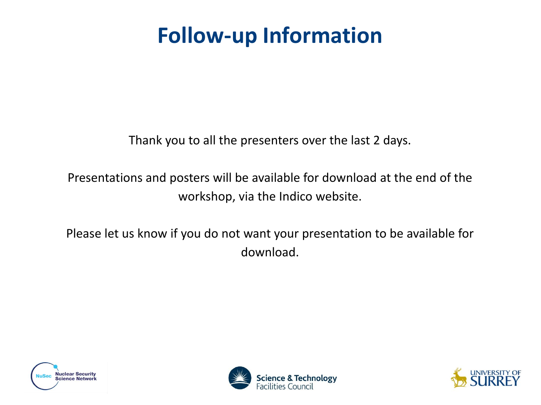# **Follow-up Information**

Thank you to all the presenters over the last 2 days.

Presentations and posters will be available for download at the end of the workshop, via the Indico website.

Please let us know if you do not want your presentation to be available for download.





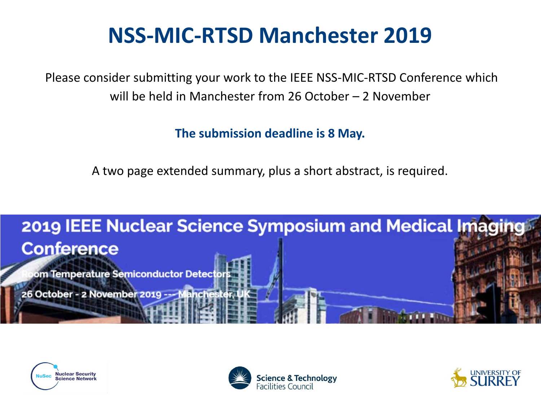# **NSS-MIC-RTSD Manchester 2019**

Please consider submitting your work to the IEEE NSS-MIC-RTSD Conference which will be held in Manchester from 26 October – 2 November

**The submission deadline is 8 May.**

A two page extended summary, plus a short abstract, is required.







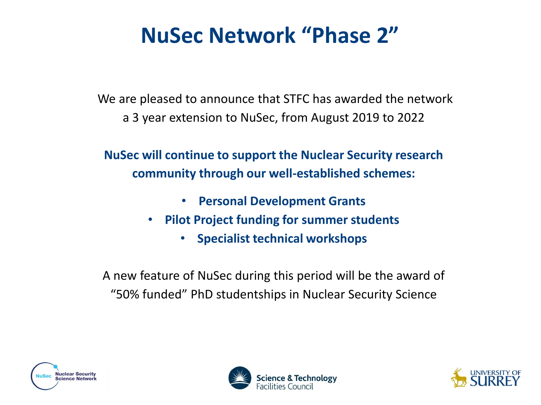# **NuSec Network "Phase 2"**

We are pleased to announce that STFC has awarded the network a 3 year extension to NuSec, from August 2019 to 2022

**NuSec will continue to support the Nuclear Security research community through our well-established schemes:**

- **Personal Development Grants**
- **Pilot Project funding for summer students** 
	- **Specialist technical workshops**

A new feature of NuSec during this period will be the award of "50% funded" PhD studentships in Nuclear Security Science





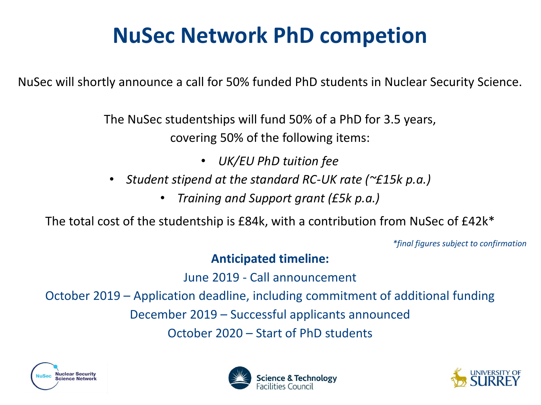# **NuSec Network PhD competion**

NuSec will shortly announce a call for 50% funded PhD students in Nuclear Security Science.

The NuSec studentships will fund 50% of a PhD for 3.5 years, covering 50% of the following items:

• *UK/EU PhD tuition fee*

- *Student stipend at the standard RC-UK rate (~£15k p.a.)*
	- *Training and Support grant (£5k p.a.)*

The total cost of the studentship is £84k, with a contribution from NuSec of £42k\*

*\*final figures subject to confirmation*

#### **Anticipated timeline:**

June 2019 - Call announcement

October 2019 – Application deadline, including commitment of additional funding

December 2019 – Successful applicants announced

October 2020 – Start of PhD students